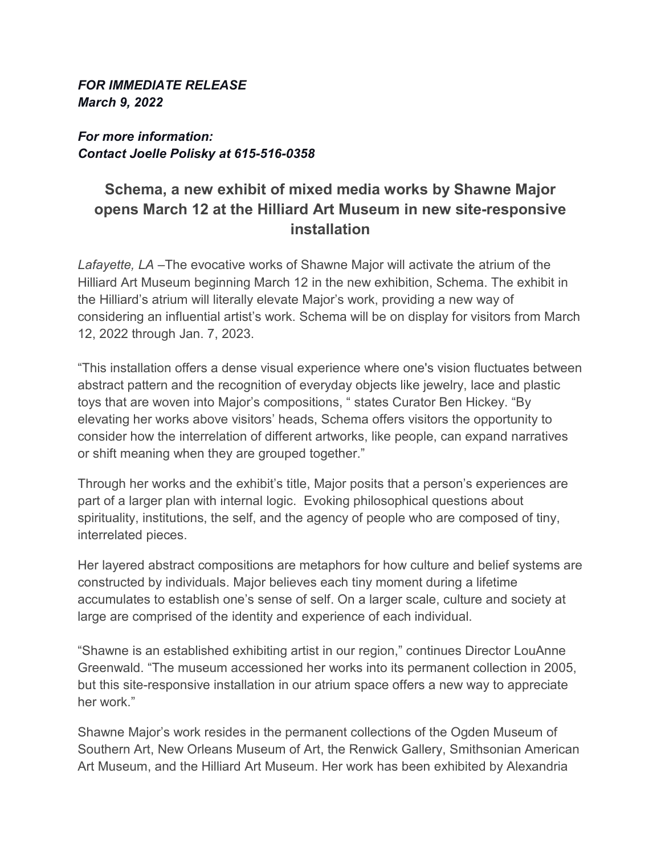#### *FOR IMMEDIATE RELEASE March 9, 2022*

# *For more information: Contact Joelle Polisky at 615-516-0358*

# **Schema, a new exhibit of mixed media works by Shawne Major opens March 12 at the Hilliard Art Museum in new site-responsive installation**

*Lafayette, LA* –The evocative works of Shawne Major will activate the atrium of the Hilliard Art Museum beginning March 12 in the new exhibition, Schema. The exhibit in the Hilliard's atrium will literally elevate Major's work, providing a new way of considering an influential artist's work. Schema will be on display for visitors from March 12, 2022 through Jan. 7, 2023.

"This installation offers a dense visual experience where one's vision fluctuates between abstract pattern and the recognition of everyday objects like jewelry, lace and plastic toys that are woven into Major's compositions, " states Curator Ben Hickey. "By elevating her works above visitors' heads, Schema offers visitors the opportunity to consider how the interrelation of different artworks, like people, can expand narratives or shift meaning when they are grouped together."

Through her works and the exhibit's title, Major posits that a person's experiences are part of a larger plan with internal logic. Evoking philosophical questions about spirituality, institutions, the self, and the agency of people who are composed of tiny, interrelated pieces.

Her layered abstract compositions are metaphors for how culture and belief systems are constructed by individuals. Major believes each tiny moment during a lifetime accumulates to establish one's sense of self. On a larger scale, culture and society at large are comprised of the identity and experience of each individual.

"Shawne is an established exhibiting artist in our region," continues Director LouAnne Greenwald. "The museum accessioned her works into its permanent collection in 2005, but this site-responsive installation in our atrium space offers a new way to appreciate her work."

Shawne Major's work resides in the permanent collections of the Ogden Museum of Southern Art, New Orleans Museum of Art, the Renwick Gallery, Smithsonian American Art Museum, and the Hilliard Art Museum. Her work has been exhibited by Alexandria